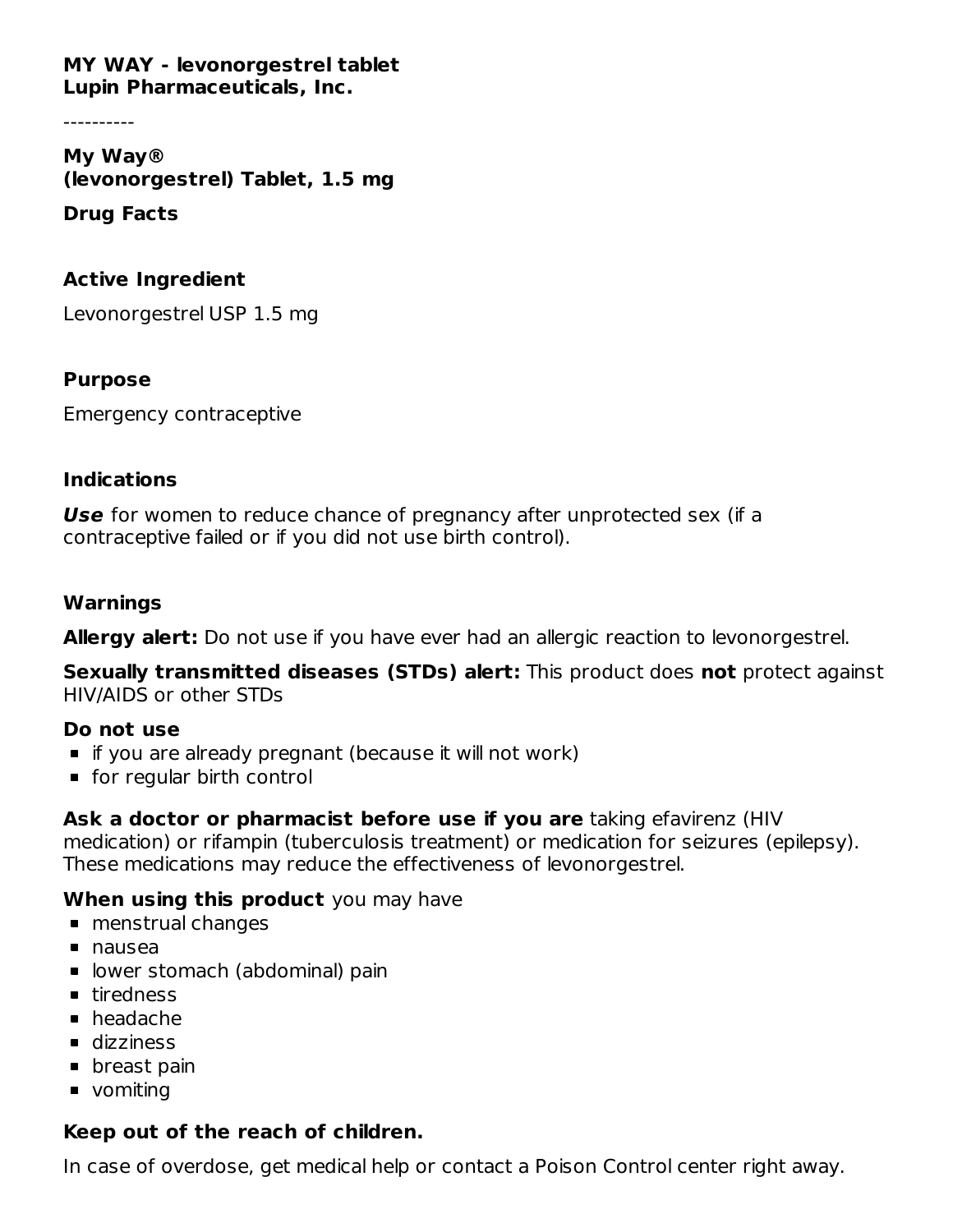**MY WAY - levonorgestrel tablet Lupin Pharmaceuticals, Inc.**

**My Way® (levonorgestrel) Tablet, 1.5 mg**

**Drug Facts**

#### **Active Ingredient**

Levonorgestrel USP 1.5 mg

#### **Purpose**

Emergency contraceptive

#### **Indications**

**Use** for women to reduce chance of pregnancy after unprotected sex (if a contraceptive failed or if you did not use birth control).

#### **Warnings**

**Allergy alert:** Do not use if you have ever had an allergic reaction to levonorgestrel.

**Sexually transmitted diseases (STDs) alert:** This product does **not** protect against HIV/AIDS or other STDs

#### **Do not use**

- **F** if you are already pregnant (because it will not work)
- **for regular birth control**

**Ask a doctor or pharmacist before use if you are** taking efavirenz (HIV medication) or rifampin (tuberculosis treatment) or medication for seizures (epilepsy). These medications may reduce the effectiveness of levonorgestrel.

#### **When using this product** you may have

- menstrual changes
- nausea
- **lower stomach (abdominal) pain**
- **u** tiredness
- headache
- **dizziness**
- **p** breast pain
- **vomiting**

#### **Keep out of the reach of children.**

In case of overdose, get medical help or contact a Poison Control center right away.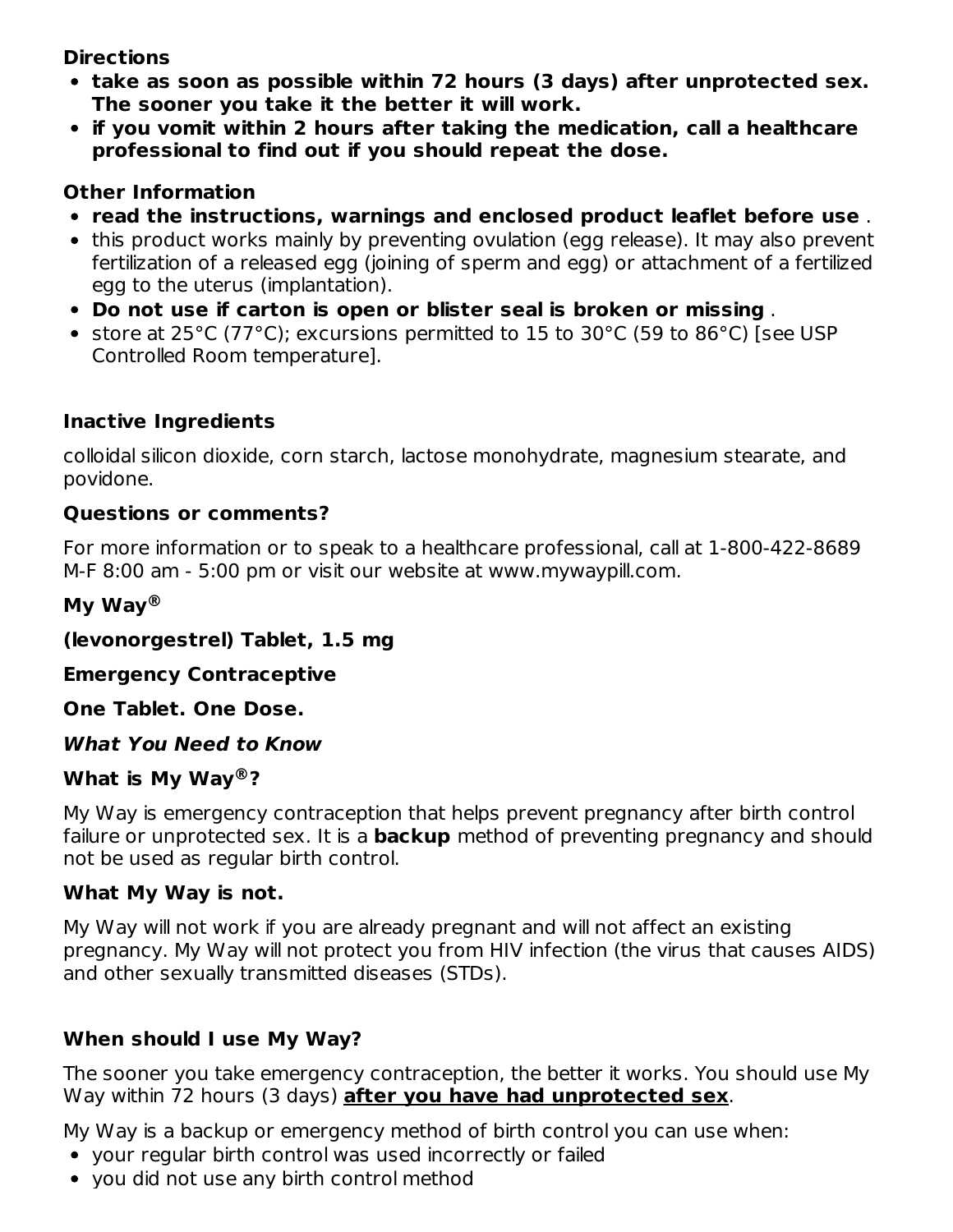### **Directions**

- **take as soon as possible within 72 hours (3 days) after unprotected sex. The sooner you take it the better it will work.**
- **if you vomit within 2 hours after taking the medication, call a healthcare professional to find out if you should repeat the dose.**

### **Other Information**

- **read the instructions, warnings and enclosed product leaflet before use** .
- this product works mainly by preventing ovulation (egg release). It may also prevent fertilization of a released egg (joining of sperm and egg) or attachment of a fertilized egg to the uterus (implantation).
- **Do not use if carton is open or blister seal is broken or missing** .
- store at 25°C (77°C); excursions permitted to 15 to 30°C (59 to 86°C) [see USP Controlled Room temperature].

# **Inactive Ingredients**

colloidal silicon dioxide, corn starch, lactose monohydrate, magnesium stearate, and povidone.

### **Questions or comments?**

For more information or to speak to a healthcare professional, call at 1-800-422-8689 M-F 8:00 am - 5:00 pm or visit our website at www.mywaypill.com.

### **My Way ®**

**(levonorgestrel) Tablet, 1.5 mg**

**Emergency Contraceptive**

**One Tablet. One Dose.**

**What You Need to Know**

# **What is My Way ? ®**

My Way is emergency contraception that helps prevent pregnancy after birth control failure or unprotected sex. It is a **backup** method of preventing pregnancy and should not be used as regular birth control.

# **What My Way is not.**

My Way will not work if you are already pregnant and will not affect an existing pregnancy. My Way will not protect you from HIV infection (the virus that causes AIDS) and other sexually transmitted diseases (STDs).

# **When should I use My Way?**

The sooner you take emergency contraception, the better it works. You should use My Way within 72 hours (3 days) **after you have had unprotected sex**.

My Way is a backup or emergency method of birth control you can use when:

- your regular birth control was used incorrectly or failed
- you did not use any birth control method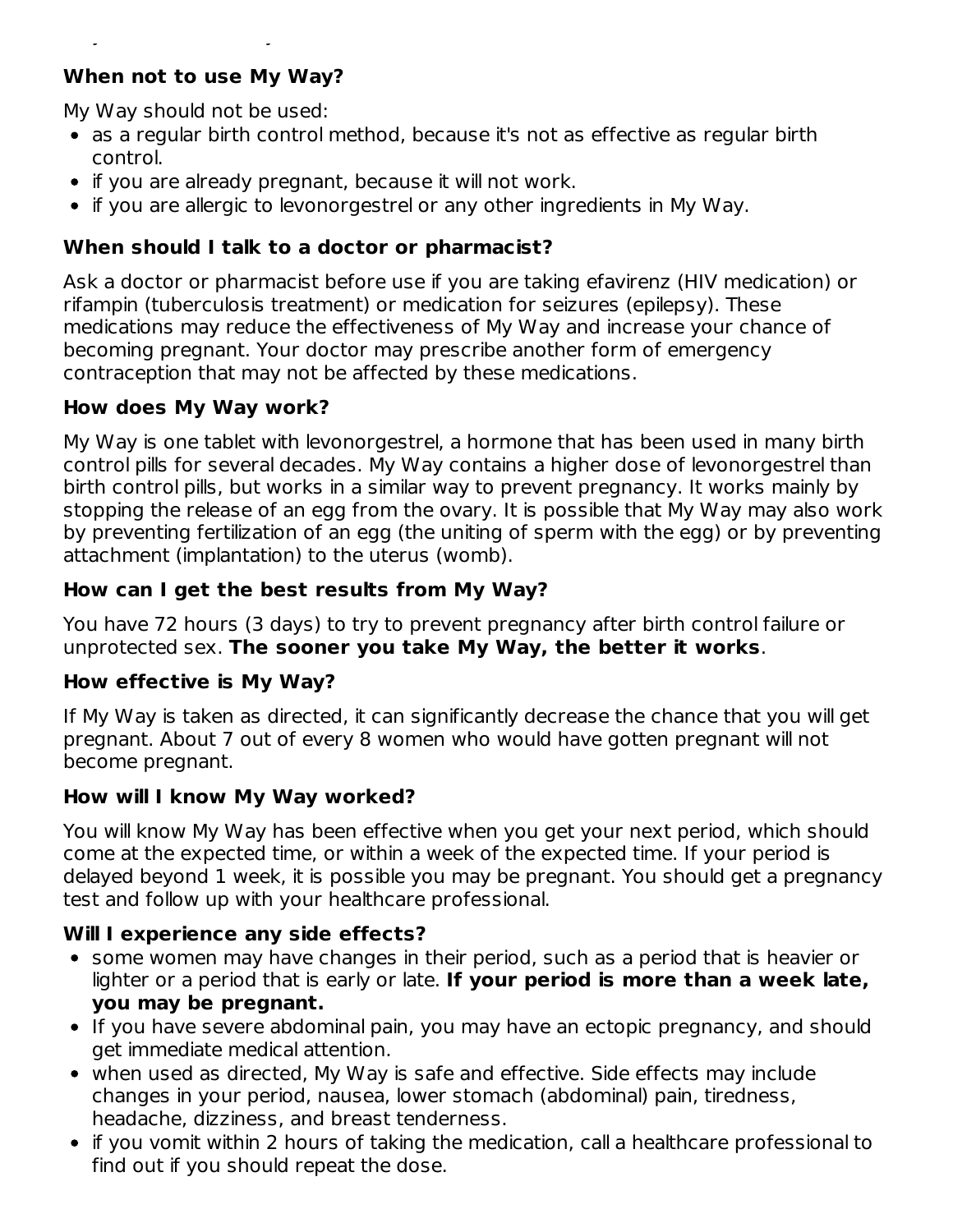# **When not to use My Way?**

My Way should not be used:

- as a regular birth control method, because it's not as effective as regular birth control.
- if you are already pregnant, because it will not work.
- if you are allergic to levonorgestrel or any other ingredients in My Way.

# **When should I talk to a doctor or pharmacist?**

you did not use any birth control method

Ask a doctor or pharmacist before use if you are taking efavirenz (HIV medication) or rifampin (tuberculosis treatment) or medication for seizures (epilepsy). These medications may reduce the effectiveness of My Way and increase your chance of becoming pregnant. Your doctor may prescribe another form of emergency contraception that may not be affected by these medications.

# **How does My Way work?**

My Way is one tablet with levonorgestrel, a hormone that has been used in many birth control pills for several decades. My Way contains a higher dose of levonorgestrel than birth control pills, but works in a similar way to prevent pregnancy. It works mainly by stopping the release of an egg from the ovary. It is possible that My Way may also work by preventing fertilization of an egg (the uniting of sperm with the egg) or by preventing attachment (implantation) to the uterus (womb).

# **How can I get the best results from My Way?**

You have 72 hours (3 days) to try to prevent pregnancy after birth control failure or unprotected sex. **The sooner you take My Way, the better it works**.

# **How effective is My Way?**

If My Way is taken as directed, it can significantly decrease the chance that you will get pregnant. About 7 out of every 8 women who would have gotten pregnant will not become pregnant.

# **How will I know My Way worked?**

You will know My Way has been effective when you get your next period, which should come at the expected time, or within a week of the expected time. If your period is delayed beyond 1 week, it is possible you may be pregnant. You should get a pregnancy test and follow up with your healthcare professional.

# **Will I experience any side effects?**

- some women may have changes in their period, such as a period that is heavier or lighter or a period that is early or late. **If your period is more than a week late, you may be pregnant.**
- If you have severe abdominal pain, you may have an ectopic pregnancy, and should get immediate medical attention.
- when used as directed, My Way is safe and effective. Side effects may include changes in your period, nausea, lower stomach (abdominal) pain, tiredness, headache, dizziness, and breast tenderness.
- if you vomit within 2 hours of taking the medication, call a healthcare professional to find out if you should repeat the dose.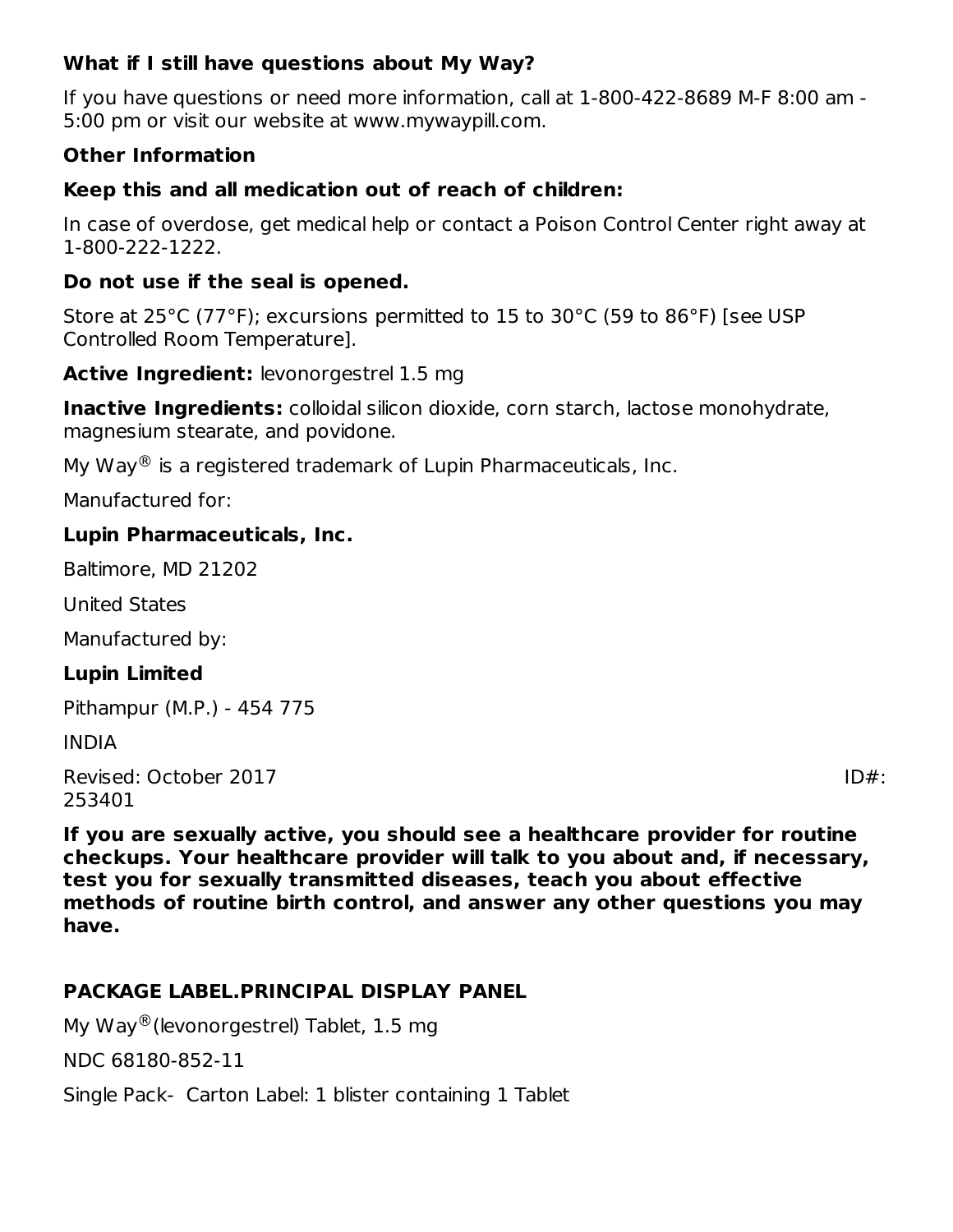### **What if I still have questions about My Way?**

If you have questions or need more information, call at 1-800-422-8689 M-F 8:00 am - 5:00 pm or visit our website at www.mywaypill.com.

# **Other Information**

# **Keep this and all medication out of reach of children:**

In case of overdose, get medical help or contact a Poison Control Center right away at 1-800-222-1222.

# **Do not use if the seal is opened.**

Store at 25°C (77°F); excursions permitted to 15 to 30°C (59 to 86°F) [see USP Controlled Room Temperature].

**Active Ingredient:** levonorgestrel 1.5 mg

**Inactive Ingredients:** colloidal silicon dioxide, corn starch, lactose monohydrate, magnesium stearate, and povidone.

My Way $^{\circledR}$  is a registered trademark of Lupin Pharmaceuticals, Inc.

Manufactured for:

# **Lupin Pharmaceuticals, Inc.**

Baltimore, MD 21202

United States

Manufactured by:

# **Lupin Limited**

Pithampur (M.P.) - 454 775

INDIA

Revised: October 2017 **ID** and the set of the set of the set of the set of the set of the set of the set of the set of the set of the set of the set of the set of the set of the set of the set of the set of the set of the 253401

**If you are sexually active, you should see a healthcare provider for routine checkups. Your healthcare provider will talk to you about and, if necessary, test you for sexually transmitted diseases, teach you about effective methods of routine birth control, and answer any other questions you may have.**

# **PACKAGE LABEL.PRINCIPAL DISPLAY PANEL**

My Way®(levonorgestrel) Tablet, 1.5 mg

NDC 68180-852-11

Single Pack- Carton Label: 1 blister containing 1 Tablet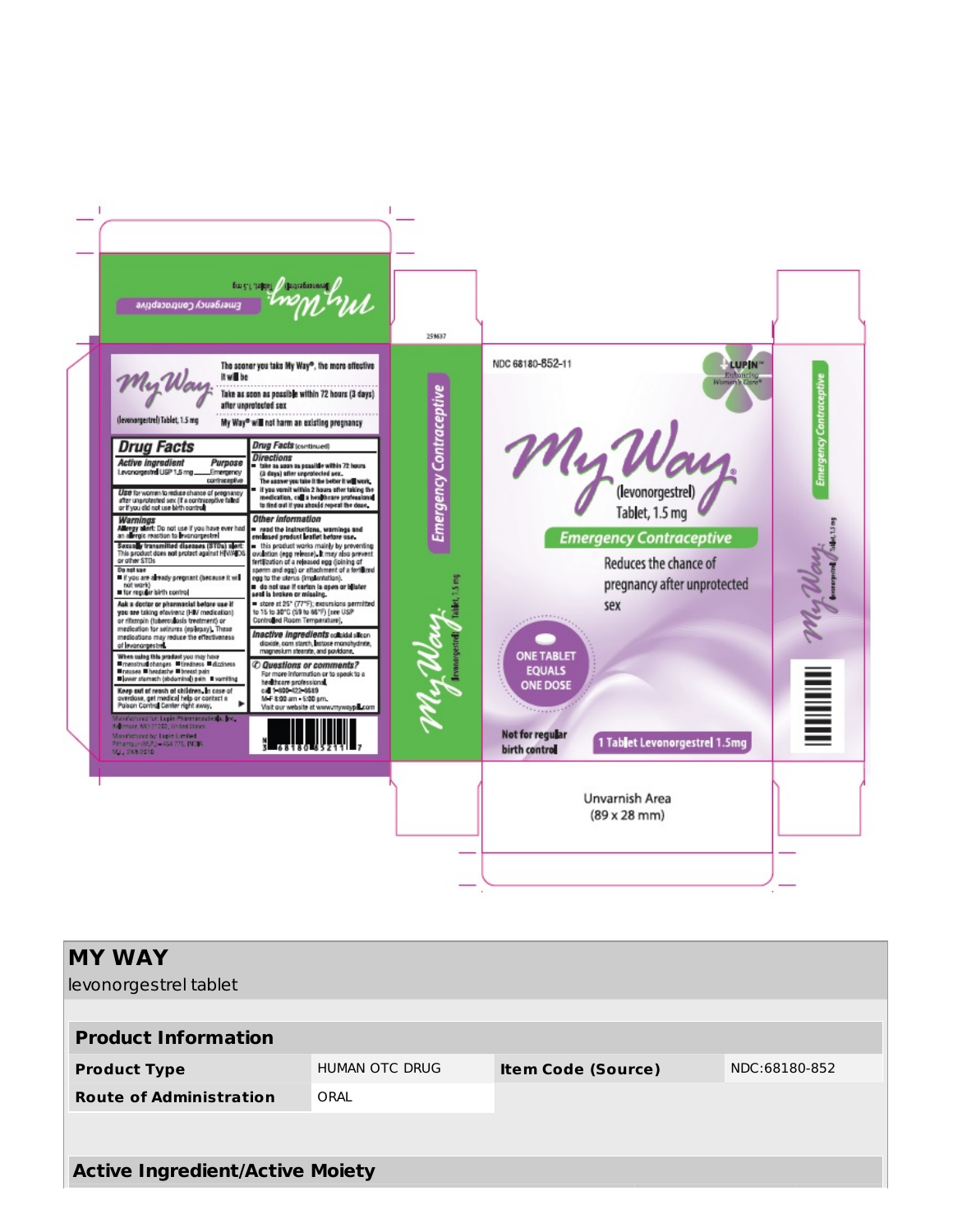| จ.เมต่อวงมุนอา .ใวนอธิมอเมสุ                                                                                                                                                                                                                                                                                                                                                                                                                                                                                                                                                                                                                                                                                                                                                                                                                                                                                                                                                                                                                                                                                                                                                                                                                                                                                                                                                                                | <b>Burgh training</b><br>(разгабавшема)                                                                                                                                                                                                                                                                                                                                                                                                                                                                                                                                                                                                                                                                                                                                                                                                                                                                                                                                                                                                                                                                                                                                                                                                                                                                                                                                                 | 259637                                     |                                                                                                                                                                                                                                                                                                                                                                                |                    |
|-------------------------------------------------------------------------------------------------------------------------------------------------------------------------------------------------------------------------------------------------------------------------------------------------------------------------------------------------------------------------------------------------------------------------------------------------------------------------------------------------------------------------------------------------------------------------------------------------------------------------------------------------------------------------------------------------------------------------------------------------------------------------------------------------------------------------------------------------------------------------------------------------------------------------------------------------------------------------------------------------------------------------------------------------------------------------------------------------------------------------------------------------------------------------------------------------------------------------------------------------------------------------------------------------------------------------------------------------------------------------------------------------------------|-----------------------------------------------------------------------------------------------------------------------------------------------------------------------------------------------------------------------------------------------------------------------------------------------------------------------------------------------------------------------------------------------------------------------------------------------------------------------------------------------------------------------------------------------------------------------------------------------------------------------------------------------------------------------------------------------------------------------------------------------------------------------------------------------------------------------------------------------------------------------------------------------------------------------------------------------------------------------------------------------------------------------------------------------------------------------------------------------------------------------------------------------------------------------------------------------------------------------------------------------------------------------------------------------------------------------------------------------------------------------------------------|--------------------------------------------|--------------------------------------------------------------------------------------------------------------------------------------------------------------------------------------------------------------------------------------------------------------------------------------------------------------------------------------------------------------------------------|--------------------|
| it will be<br>(Jevonargestrel) Tablet, 1.5 mg<br><b>Drug Facts</b><br><b>Active ingredient</b><br>Purpose<br>Levonorgestral USP 1.5 mg.<br>Emergency<br>contraceptive<br>Use for women to reduce chance of pregnancy<br>after unprotected sex (if a contrapeptive falled<br>or if you did not use birth controll<br>Warnings<br>Allergy alert: Do not use if you have ever had<br>an alergic reaction to invorcing estrel<br>Sexual y transmitted diseases (STDs) alert:<br>This arcoust does not protect against HIV/ADS<br>or other STDs<br>Do not use<br>If if you are already pregnant (because it will<br>not work)<br>In for regular birth control<br>Ask a doctor or pharmacist before use if<br>you are taking efavirenz (HIV medication)<br>or rifampin (tuberculosis treatment) or<br>medication for selzures (epilepsy). These<br>medications may reduce the effectiveness<br>of levanargestre<br>When using this product you may have<br>■ menstrual changes ■ tiredness ■ dizziness<br><b>Brausea Bheadache Bhreast pain</b><br>pwer stemach (abdomina) pain # vomiting<br>Keep out of reach at children. In case of<br>overdose, get medical help or contact a<br>Poison Control Center right away.<br>infectived for: Lapin Pharmaceuticals, Inc.,<br><b>Italianova</b> , MD 21200, United States<br>Manufactured by Lupin Limited<br>Pittamaur (MP) = 464 775, INOIN<br><b>MJ, 288/2010</b> | The sconer you take My Way®, the more effective<br>Take as soon as possible within 72 hours (3 days)<br>after unprotected sex<br><br>My Way <sup>o</sup> will not harm an existing pregnancy<br><b>Drug Facts (continued)</b><br><b>Directions</b><br>take as soon as possible within 72 hours<br>(3 days) after unprotected sex.<br>The announcy you take it the better it will work,<br>if you vomit within 2 hours after taking the<br>medication, call a healthcare professional<br>to find out if you should repeat the dose.<br>Other Information<br>read the instructions, warnings and<br>enslased product leatlet befare use.<br>this product works mainly by preventing<br>ovulation (egg release). It may also prevent<br>fertilization of a released egg (joining of<br>sperm and egg) or attachment of a fertilized<br>egg to the uterus (implemation).<br>do not use if carton is open or bilater<br>seal is braken or missing.<br>store at 25° (77°F); excursions permitted<br>to 15 to 30°C (S9 to 86°F) [see USP<br>Controlled Room Temperature].<br>Inactive ingredients coloidal sitcon<br>diguide, com starch, lastose monohydrate,<br>magnesium stearste, and povidone.<br>© Questions or comments?<br>For more information or to speak to a<br>healthcare professional,<br>car 1-800-422-8689<br>M-F 8:00 am - 5:00 pm.<br>Visit our website at www.mywaypill.com | Emergency Contraceptive<br>devonergestred) | NDC 68180-852-11<br>LUP N <sup>**</sup><br>Enforcing<br>Women's Care <sup>s</sup><br>My War<br>(levonorgestrel<br>Tablet, 1.5 mg<br><b>Emergency Contraceptive</b><br>Reduces the chance of<br>pregnancy after unprotected<br>sex<br><b>ONE TABLET</b><br><b>EQUALS</b><br><b>ONE DOSE</b><br>" d Kawad "<br>Not for regular<br>1 Tablet Levonorgestrel 1.5mg<br>birth control | Contraceptive<br>â |
|                                                                                                                                                                                                                                                                                                                                                                                                                                                                                                                                                                                                                                                                                                                                                                                                                                                                                                                                                                                                                                                                                                                                                                                                                                                                                                                                                                                                             |                                                                                                                                                                                                                                                                                                                                                                                                                                                                                                                                                                                                                                                                                                                                                                                                                                                                                                                                                                                                                                                                                                                                                                                                                                                                                                                                                                                         |                                            | Unvarnish Area<br>$(89 \times 28 \text{ mm})$                                                                                                                                                                                                                                                                                                                                  |                    |

| <b>MY WAY</b>                          |                       |                           |               |  |
|----------------------------------------|-----------------------|---------------------------|---------------|--|
| levonorgestrel tablet                  |                       |                           |               |  |
| <b>Product Information</b>             |                       |                           |               |  |
| <b>Product Type</b>                    | <b>HUMAN OTC DRUG</b> | <b>Item Code (Source)</b> | NDC:68180-852 |  |
| <b>Route of Administration</b>         | ORAL                  |                           |               |  |
|                                        |                       |                           |               |  |
| <b>Active Ingredient/Active Moiety</b> |                       |                           |               |  |